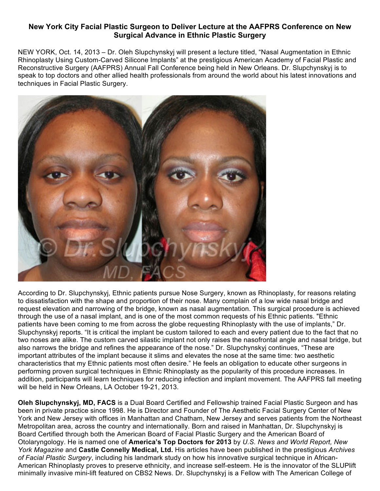## **New York City Facial Plastic Surgeon to Deliver Lecture at the AAFPRS Conference on New Surgical Advance in Ethnic Plastic Surgery**

NEW YORK, Oct. 14, 2013 – Dr. Oleh Slupchynskyj will present a lecture titled, "Nasal Augmentation in Ethnic Rhinoplasty Using Custom-Carved Silicone Implants" at the prestigious American Academy of Facial Plastic and Reconstructive Surgery (AAFPRS) Annual Fall Conference being held in New Orleans. Dr. Slupchynskyj is to speak to top doctors and other allied health professionals from around the world about his latest innovations and techniques in Facial Plastic Surgery.



According to Dr. Slupchynskyj, Ethnic patients pursue Nose Surgery, known as Rhinoplasty, for reasons relating to dissatisfaction with the shape and proportion of their nose. Many complain of a low wide nasal bridge and request elevation and narrowing of the bridge, known as nasal augmentation. This surgical procedure is achieved through the use of a nasal implant, and is one of the most common requests of his Ethnic patients. "Ethnic patients have been coming to me from across the globe requesting Rhinoplasty with the use of implants," Dr. Slupchynskyj reports. "It is critical the implant be custom tailored to each and every patient due to the fact that no two noses are alike. The custom carved silastic implant not only raises the nasofrontal angle and nasal bridge, but also narrows the bridge and refines the appearance of the nose." Dr. Slupchynskyj continues, "These are important attributes of the implant because it slims and elevates the nose at the same time: two aesthetic characteristics that my Ethnic patients most often desire." He feels an obligation to educate other surgeons in performing proven surgical techniques in Ethnic Rhinoplasty as the popularity of this procedure increases. In addition, participants will learn techniques for reducing infection and implant movement. The AAFPRS fall meeting will be held in New Orleans, LA October 19-21, 2013.

**Oleh Slupchynskyj, MD, FACS** is a Dual Board Certified and Fellowship trained Facial Plastic Surgeon and has been in private practice since 1998. He is Director and Founder of The Aesthetic Facial Surgery Center of New York and New Jersey with offices in Manhattan and Chatham, New Jersey and serves patients from the Northeast Metropolitan area, across the country and internationally. Born and raised in Manhattan, Dr. Slupchynskyj is Board Certified through both the American Board of Facial Plastic Surgery and the American Board of Otolaryngology. He is named one of **America's Top Doctors for 2013** by *U.S. News and World Report, New York Magazine* and **Castle Connelly Medical, Ltd.** His articles have been published in the prestigious *Archives of Facial Plastic Surgery*, including his landmark study on how his innovative surgical technique in African-American Rhinoplasty proves to preserve ethnicity, and increase self-esteem. He is the innovator of the SLUPlift minimally invasive mini-lift featured on CBS2 News. Dr. Slupchynskyj is a Fellow with The American College of